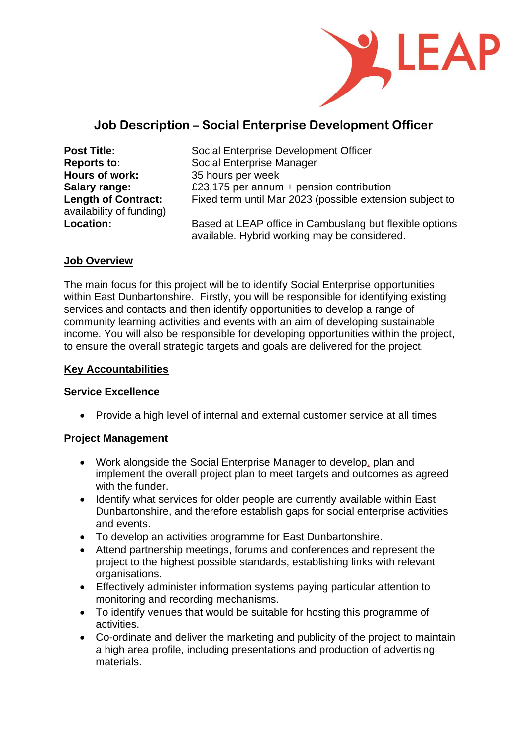

# **Job Description – Social Enterprise Development Officer**

| <b>Post Title:</b>         |
|----------------------------|
| <b>Reports to:</b>         |
| <b>Hours of work:</b>      |
| <b>Salary range:</b>       |
| <b>Length of Contract:</b> |
| availability of funding)   |
| <b>Location:</b>           |

**Social Enterprise Development Officer Social Enterprise Manager Hours of work:** 35 hours per week **Salary range:** £23,175 per annum + pension contribution Fixed term until Mar 2023 (possible extension subject to **Location:** Based at LEAP office in Cambuslang but flexible options available. Hybrid working may be considered.

### **Job Overview**

The main focus for this project will be to identify Social Enterprise opportunities within East Dunbartonshire. Firstly, you will be responsible for identifying existing services and contacts and then identify opportunities to develop a range of community learning activities and events with an aim of developing sustainable income. You will also be responsible for developing opportunities within the project, to ensure the overall strategic targets and goals are delivered for the project.

#### **Key Accountabilities**

#### **Service Excellence**

• Provide a high level of internal and external customer service at all times

### **Project Management**

- Work alongside the Social Enterprise Manager to develop, plan and implement the overall project plan to meet targets and outcomes as agreed with the funder.
- Identify what services for older people are currently available within East Dunbartonshire, and therefore establish gaps for social enterprise activities and events.
- To develop an activities programme for East Dunbartonshire.
- Attend partnership meetings, forums and conferences and represent the project to the highest possible standards, establishing links with relevant organisations.
- Effectively administer information systems paying particular attention to monitoring and recording mechanisms.
- To identify venues that would be suitable for hosting this programme of activities.
- Co-ordinate and deliver the marketing and publicity of the project to maintain a high area profile, including presentations and production of advertising materials.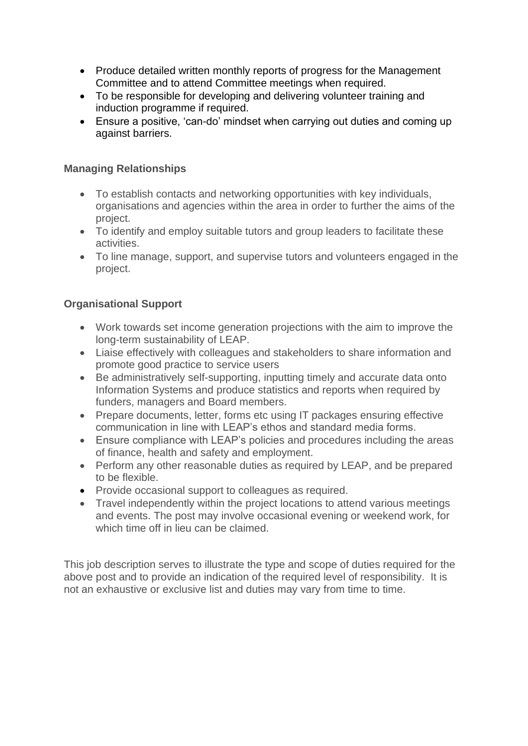- Produce detailed written monthly reports of progress for the Management Committee and to attend Committee meetings when required.
- To be responsible for developing and delivering volunteer training and induction programme if required.
- Ensure a positive, 'can-do' mindset when carrying out duties and coming up against barriers.

### **Managing Relationships**

- To establish contacts and networking opportunities with key individuals, organisations and agencies within the area in order to further the aims of the project.
- To identify and employ suitable tutors and group leaders to facilitate these activities.
- To line manage, support, and supervise tutors and volunteers engaged in the project.

## **Organisational Support**

- Work towards set income generation projections with the aim to improve the long-term sustainability of LEAP.
- Liaise effectively with colleagues and stakeholders to share information and promote good practice to service users
- Be administratively self-supporting, inputting timely and accurate data onto Information Systems and produce statistics and reports when required by funders, managers and Board members.
- Prepare documents, letter, forms etc using IT packages ensuring effective communication in line with LEAP's ethos and standard media forms.
- Ensure compliance with LEAP's policies and procedures including the areas of finance, health and safety and employment.
- Perform any other reasonable duties as required by LEAP, and be prepared to be flexible.
- Provide occasional support to colleagues as required.
- Travel independently within the project locations to attend various meetings and events. The post may involve occasional evening or weekend work, for which time off in lieu can be claimed.

This job description serves to illustrate the type and scope of duties required for the above post and to provide an indication of the required level of responsibility. It is not an exhaustive or exclusive list and duties may vary from time to time.